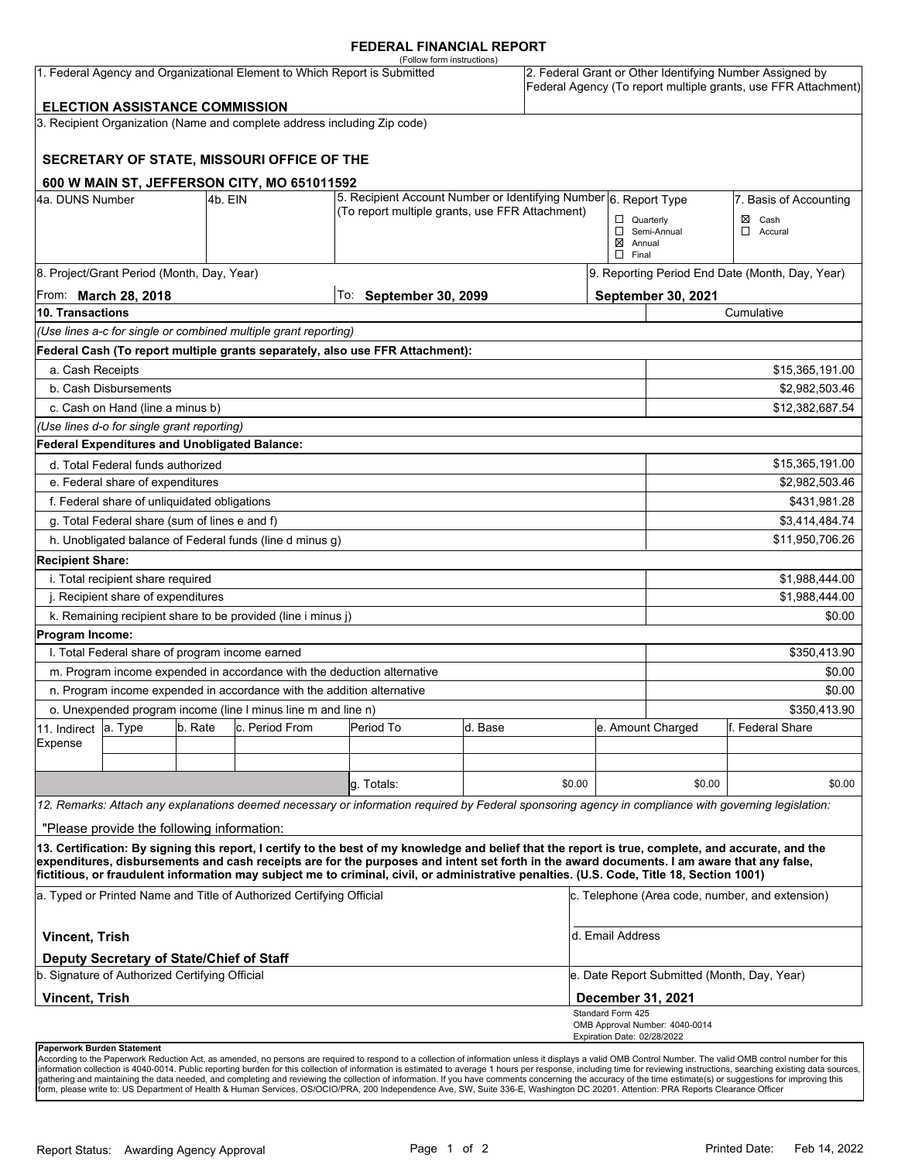#### **FEDERAL FINANCIAL REPORT**

|                                                                           |                                                                                            |         |                                                                                                                     | (Follow form instructions)                                                                                                                                                                                                                                                              |                        |                        |                                                        |                                                                                                                            |                                  |  |
|---------------------------------------------------------------------------|--------------------------------------------------------------------------------------------|---------|---------------------------------------------------------------------------------------------------------------------|-----------------------------------------------------------------------------------------------------------------------------------------------------------------------------------------------------------------------------------------------------------------------------------------|------------------------|------------------------|--------------------------------------------------------|----------------------------------------------------------------------------------------------------------------------------|----------------------------------|--|
| 1. Federal Agency and Organizational Element to Which Report is Submitted |                                                                                            |         |                                                                                                                     |                                                                                                                                                                                                                                                                                         |                        |                        |                                                        | 2. Federal Grant or Other Identifying Number Assigned by<br>Federal Agency (To report multiple grants, use FFR Attachment) |                                  |  |
|                                                                           | <b>ELECTION ASSISTANCE COMMISSION</b>                                                      |         |                                                                                                                     |                                                                                                                                                                                                                                                                                         |                        |                        |                                                        |                                                                                                                            |                                  |  |
|                                                                           |                                                                                            |         | 3. Recipient Organization (Name and complete address including Zip code)                                            |                                                                                                                                                                                                                                                                                         |                        |                        |                                                        |                                                                                                                            |                                  |  |
|                                                                           |                                                                                            |         | SECRETARY OF STATE, MISSOURI OFFICE OF THE                                                                          |                                                                                                                                                                                                                                                                                         |                        |                        |                                                        |                                                                                                                            |                                  |  |
|                                                                           |                                                                                            |         | 600 W MAIN ST, JEFFERSON CITY, MO 651011592                                                                         |                                                                                                                                                                                                                                                                                         |                        |                        |                                                        |                                                                                                                            |                                  |  |
| 4a. DUNS Number<br>4b. EIN                                                |                                                                                            |         | 5. Recipient Account Number or Identifying Number 6. Report Type<br>(To report multiple grants, use FFR Attachment) |                                                                                                                                                                                                                                                                                         |                        | 7. Basis of Accounting |                                                        |                                                                                                                            |                                  |  |
|                                                                           |                                                                                            |         |                                                                                                                     |                                                                                                                                                                                                                                                                                         |                        |                        | $\Box$ Quarterly<br>$\boxtimes$ Annual<br>$\Box$ Final | Semi-Annual                                                                                                                | $\boxtimes$ Cash<br>◻<br>Accural |  |
|                                                                           | 8. Project/Grant Period (Month, Day, Year)                                                 |         |                                                                                                                     |                                                                                                                                                                                                                                                                                         |                        |                        | 9. Reporting Period End Date (Month, Day, Year)        |                                                                                                                            |                                  |  |
| From: <b>March 28, 2018</b>                                               |                                                                                            |         |                                                                                                                     |                                                                                                                                                                                                                                                                                         | To: September 30, 2099 |                        |                                                        | September 30, 2021                                                                                                         |                                  |  |
| 10. Transactions                                                          |                                                                                            |         |                                                                                                                     |                                                                                                                                                                                                                                                                                         |                        |                        |                                                        | Cumulative                                                                                                                 |                                  |  |
|                                                                           |                                                                                            |         | (Use lines a-c for single or combined multiple grant reporting)                                                     |                                                                                                                                                                                                                                                                                         |                        |                        |                                                        |                                                                                                                            |                                  |  |
|                                                                           |                                                                                            |         |                                                                                                                     | Federal Cash (To report multiple grants separately, also use FFR Attachment):                                                                                                                                                                                                           |                        |                        |                                                        |                                                                                                                            |                                  |  |
| a. Cash Receipts                                                          |                                                                                            |         |                                                                                                                     |                                                                                                                                                                                                                                                                                         |                        |                        |                                                        |                                                                                                                            | \$15,365,191.00                  |  |
|                                                                           | b. Cash Disbursements                                                                      |         |                                                                                                                     |                                                                                                                                                                                                                                                                                         |                        |                        |                                                        | \$2,982,503.46                                                                                                             |                                  |  |
|                                                                           | c. Cash on Hand (line a minus b)                                                           |         |                                                                                                                     |                                                                                                                                                                                                                                                                                         |                        |                        |                                                        |                                                                                                                            | \$12,382,687.54                  |  |
| (Use lines d-o for single grant reporting)                                |                                                                                            |         |                                                                                                                     |                                                                                                                                                                                                                                                                                         |                        |                        |                                                        |                                                                                                                            |                                  |  |
|                                                                           | Federal Expenditures and Unobligated Balance:                                              |         |                                                                                                                     |                                                                                                                                                                                                                                                                                         |                        |                        |                                                        |                                                                                                                            |                                  |  |
|                                                                           | d. Total Federal funds authorized                                                          |         |                                                                                                                     |                                                                                                                                                                                                                                                                                         |                        |                        |                                                        |                                                                                                                            | \$15,365,191.00                  |  |
| e. Federal share of expenditures                                          |                                                                                            |         |                                                                                                                     |                                                                                                                                                                                                                                                                                         |                        |                        |                                                        | \$2,982,503.46                                                                                                             |                                  |  |
| f. Federal share of unliquidated obligations                              |                                                                                            |         |                                                                                                                     |                                                                                                                                                                                                                                                                                         |                        |                        |                                                        |                                                                                                                            | \$431,981.28                     |  |
| g. Total Federal share (sum of lines e and f)                             |                                                                                            |         |                                                                                                                     |                                                                                                                                                                                                                                                                                         |                        |                        |                                                        | \$3,414,484.74                                                                                                             |                                  |  |
|                                                                           |                                                                                            |         | h. Unobligated balance of Federal funds (line d minus g)                                                            |                                                                                                                                                                                                                                                                                         |                        |                        |                                                        |                                                                                                                            | \$11,950,706.26                  |  |
| <b>Recipient Share:</b>                                                   |                                                                                            |         |                                                                                                                     |                                                                                                                                                                                                                                                                                         |                        |                        |                                                        |                                                                                                                            |                                  |  |
| i. Total recipient share required                                         |                                                                                            |         |                                                                                                                     |                                                                                                                                                                                                                                                                                         |                        |                        |                                                        |                                                                                                                            | \$1,988,444.00                   |  |
| j. Recipient share of expenditures                                        |                                                                                            |         |                                                                                                                     |                                                                                                                                                                                                                                                                                         |                        |                        |                                                        | \$1,988,444.00                                                                                                             |                                  |  |
|                                                                           |                                                                                            |         | k. Remaining recipient share to be provided (line i minus j)                                                        |                                                                                                                                                                                                                                                                                         |                        |                        |                                                        |                                                                                                                            | \$0.00                           |  |
| Program Income:                                                           |                                                                                            |         |                                                                                                                     |                                                                                                                                                                                                                                                                                         |                        |                        |                                                        |                                                                                                                            |                                  |  |
|                                                                           | I. Total Federal share of program income earned                                            |         |                                                                                                                     |                                                                                                                                                                                                                                                                                         |                        |                        |                                                        |                                                                                                                            | \$350,413.90                     |  |
|                                                                           |                                                                                            |         |                                                                                                                     | m. Program income expended in accordance with the deduction alternative                                                                                                                                                                                                                 |                        |                        |                                                        |                                                                                                                            | \$0.00                           |  |
|                                                                           |                                                                                            |         | n. Program income expended in accordance with the addition alternative                                              |                                                                                                                                                                                                                                                                                         |                        |                        |                                                        |                                                                                                                            | \$0.00                           |  |
| o. Unexpended program income (line I minus line m and line n)             |                                                                                            |         |                                                                                                                     |                                                                                                                                                                                                                                                                                         |                        |                        |                                                        | \$350,413.90                                                                                                               |                                  |  |
| 11. Indirect                                                              | a. Type                                                                                    | b. Rate | c. Period From                                                                                                      | Period To                                                                                                                                                                                                                                                                               | d. Base                |                        |                                                        | e. Amount Charged                                                                                                          | lf. Federal Share                |  |
| Expense                                                                   |                                                                                            |         |                                                                                                                     |                                                                                                                                                                                                                                                                                         |                        |                        |                                                        |                                                                                                                            |                                  |  |
|                                                                           |                                                                                            |         |                                                                                                                     |                                                                                                                                                                                                                                                                                         |                        |                        |                                                        |                                                                                                                            |                                  |  |
|                                                                           |                                                                                            |         |                                                                                                                     | g. Totals:                                                                                                                                                                                                                                                                              |                        | \$0.00                 |                                                        | \$0.00                                                                                                                     | \$0.00                           |  |
|                                                                           |                                                                                            |         |                                                                                                                     | 12. Remarks: Attach any explanations deemed necessary or information required by Federal sponsoring agency in compliance with governing legislation:                                                                                                                                    |                        |                        |                                                        |                                                                                                                            |                                  |  |
|                                                                           | "Please provide the following information:                                                 |         |                                                                                                                     |                                                                                                                                                                                                                                                                                         |                        |                        |                                                        |                                                                                                                            |                                  |  |
|                                                                           |                                                                                            |         |                                                                                                                     | 13. Certification: By signing this report, I certify to the best of my knowledge and belief that the report is true, complete, and accurate, and the                                                                                                                                    |                        |                        |                                                        |                                                                                                                            |                                  |  |
|                                                                           |                                                                                            |         |                                                                                                                     | expenditures, disbursements and cash receipts are for the purposes and intent set forth in the award documents. I am aware that any false,<br>fictitious, or fraudulent information may subject me to criminal, civil, or administrative penalties. (U.S. Code, Title 18, Section 1001) |                        |                        |                                                        |                                                                                                                            |                                  |  |
| a. Typed or Printed Name and Title of Authorized Certifying Official      |                                                                                            |         |                                                                                                                     |                                                                                                                                                                                                                                                                                         |                        |                        |                                                        | c. Telephone (Area code, number, and extension)                                                                            |                                  |  |
| d. Email Address<br><b>Vincent, Trish</b>                                 |                                                                                            |         |                                                                                                                     |                                                                                                                                                                                                                                                                                         |                        |                        |                                                        |                                                                                                                            |                                  |  |
|                                                                           | Deputy Secretary of State/Chief of Staff<br>b. Signature of Authorized Certifying Official |         |                                                                                                                     |                                                                                                                                                                                                                                                                                         |                        |                        |                                                        | e. Date Report Submitted (Month, Day, Year)                                                                                |                                  |  |
| <b>Vincent, Trish</b>                                                     |                                                                                            |         |                                                                                                                     |                                                                                                                                                                                                                                                                                         |                        |                        |                                                        | December 31, 2021                                                                                                          |                                  |  |
|                                                                           |                                                                                            |         |                                                                                                                     |                                                                                                                                                                                                                                                                                         |                        |                        | Standard Form 425                                      | OMB Approval Number: 4040-0014                                                                                             |                                  |  |
| Paperwork Burden Statement                                                |                                                                                            |         |                                                                                                                     |                                                                                                                                                                                                                                                                                         |                        |                        | Expiration Date: 02/28/2022                            |                                                                                                                            |                                  |  |

According to the Paperwork Reduction Act, as amended, no persons are required to respond to a collection of information unless it displays a valid OMB Control Number. The valid OMB control number for this<br>information colle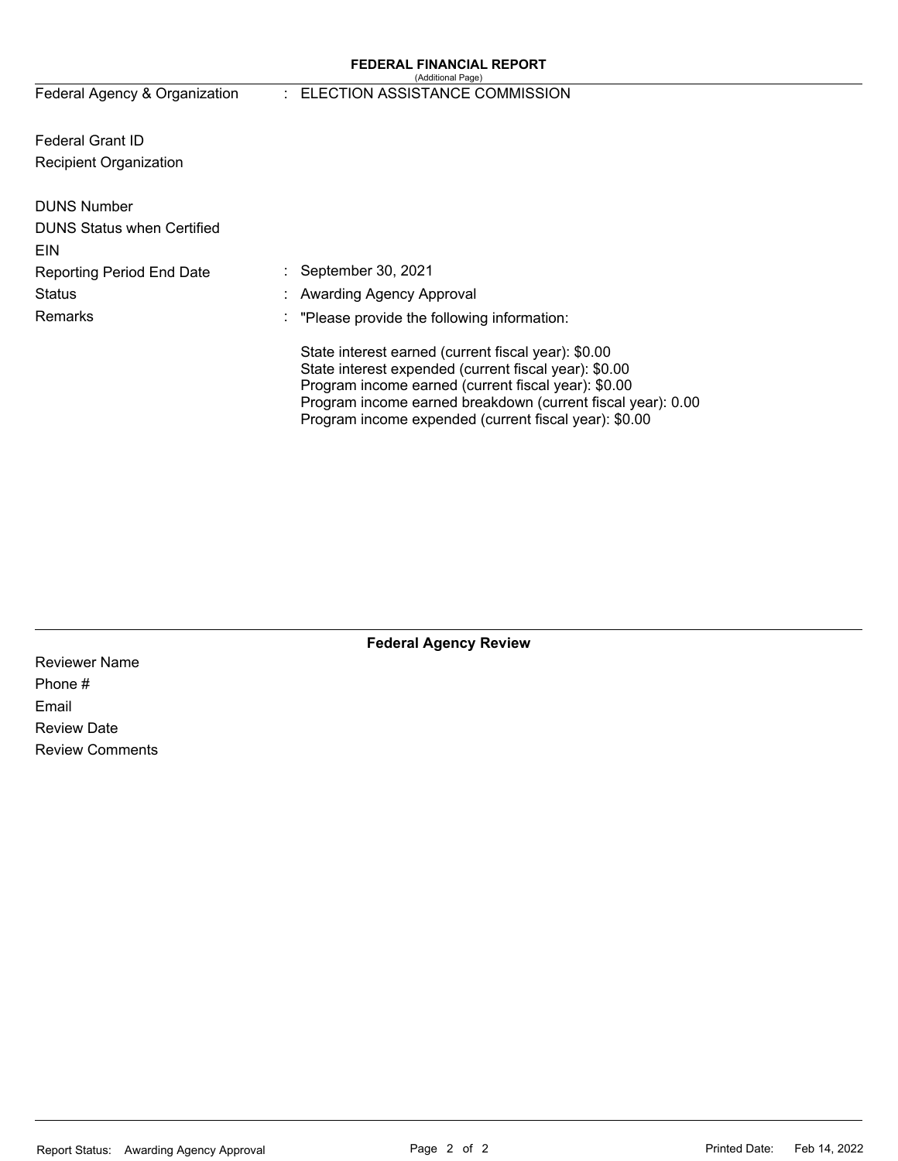#### **FEDERAL FINANCIAL REPORT**  (Additional Page)

# Federal Agency & Organization : ELECTION ASSISTANCE COMMISSION

Federal Grant ID Recipient Organization

| <b>DUNS Number</b><br><b>DUNS Status when Certified</b><br><b>EIN</b> |                                                                                                                                                                                                                                                                                             |
|-----------------------------------------------------------------------|---------------------------------------------------------------------------------------------------------------------------------------------------------------------------------------------------------------------------------------------------------------------------------------------|
| <b>Reporting Period End Date</b>                                      | September 30, 2021                                                                                                                                                                                                                                                                          |
| <b>Status</b>                                                         | : Awarding Agency Approval                                                                                                                                                                                                                                                                  |
| Remarks                                                               | $\therefore$ "Please provide the following information:                                                                                                                                                                                                                                     |
|                                                                       | State interest earned (current fiscal year): \$0.00<br>State interest expended (current fiscal year): \$0.00<br>Program income earned (current fiscal year): \$0.00<br>Program income earned breakdown (current fiscal year): 0.00<br>Program income expended (current fiscal year): \$0.00 |

**Federal Agency Review** 

Reviewer Name Phone # Email Review Date Review Comments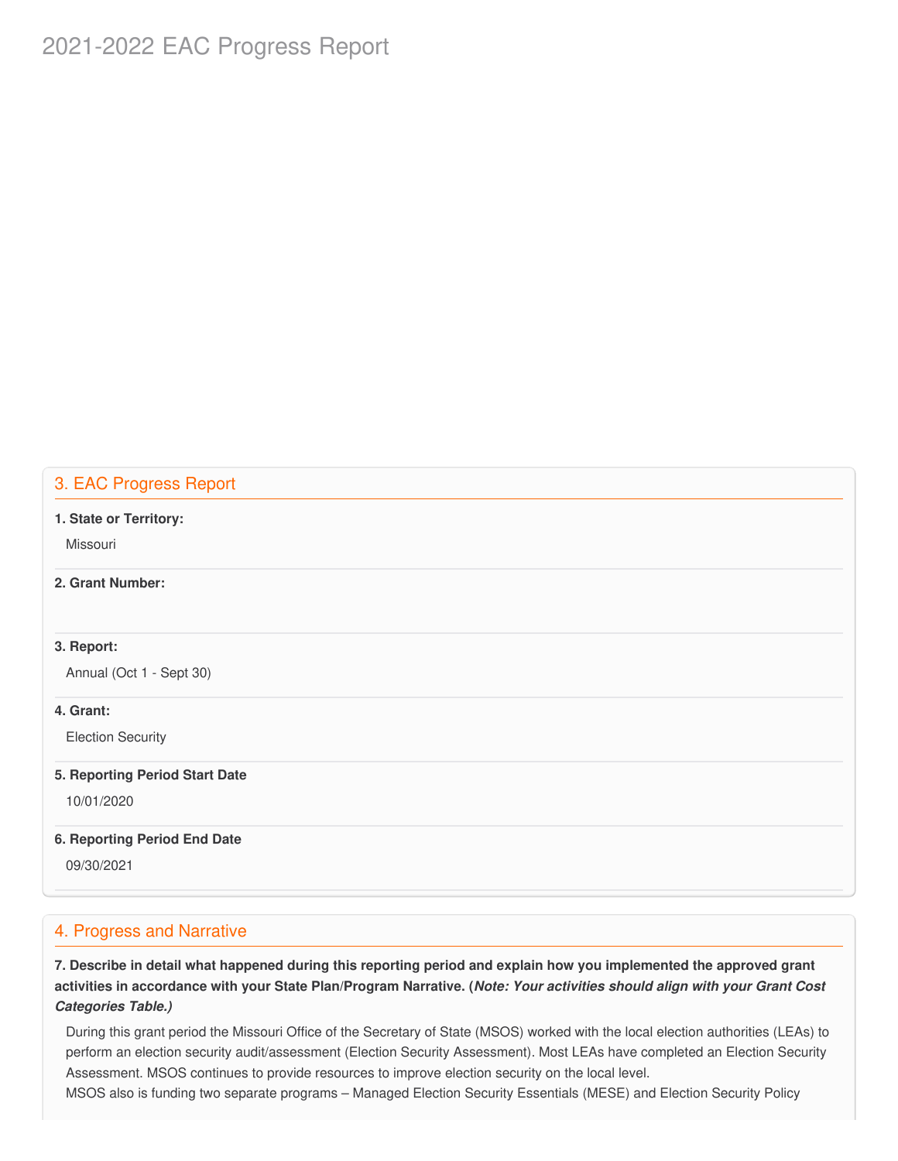# 2021-2022 EAC Progress Report

# 3. EAC Progress Report

#### **1. State or Territory:**

Missouri

### **2. Grant Number:**

### **3. Report:**

Annual (Oct 1 - Sept 30)

### **4. Grant:**

Election Security

#### **5. Reporting Period Start Date**

10/01/2020

### **6. Reporting Period End Date**

09/30/2021

# 4. Progress and Narrative

7. Describe in detail what happened during this reporting period and explain how you implemented the approved grant activities in accordance with your State Plan/Program Narrative. (*Note: Your activities should align with your Grant Cost Categories Table.)*

 During this grant period the Missouri Office of the Secretary of State (MSOS) worked with the local election authorities (LEAs) to perform an election security audit/assessment (Election Security Assessment). Most LEAs have completed an Election Security Assessment. MSOS continues to provide resources to improve election security on the local level.

MSOS also is funding two separate programs – Managed Election Security Essentials (MESE) and Election Security Policy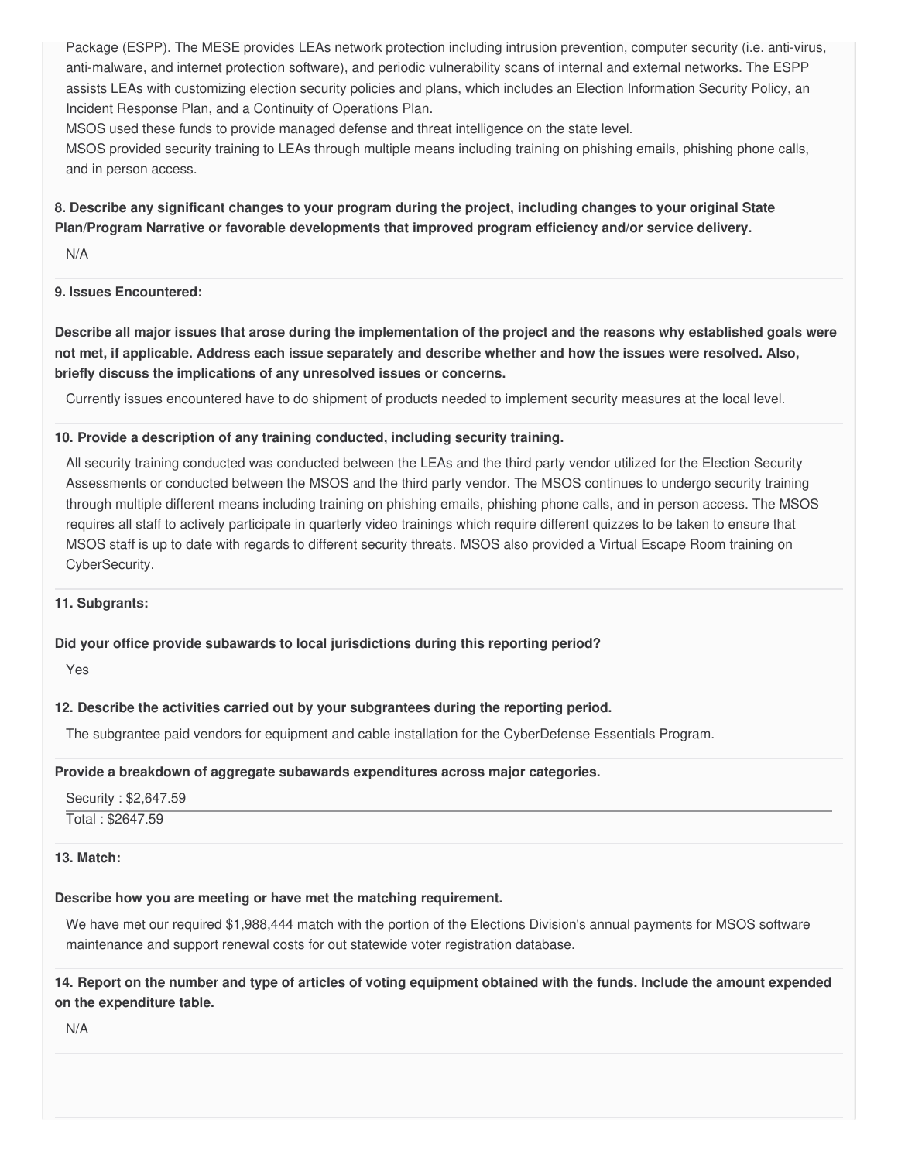Package (ESPP). The MESE provides LEAs network protection including intrusion prevention, computer security (i.e. anti-virus, anti-malware, and internet protection software), and periodic vulnerability scans of internal and external networks. The ESPP assists LEAs with customizing election security policies and plans, which includes an Election Information Security Policy, an Incident Response Plan, and a Continuity of Operations Plan.

MSOS used these funds to provide managed defense and threat intelligence on the state level.

 MSOS provided security training to LEAs through multiple means including training on phishing emails, phishing phone calls, and in person access.

8. Describe any significant changes to your program during the project, including changes to your original State  **Plan/Program Narrative or favorable developments that improved program efficiency and/or service delivery.**

N/A

### **9. Issues Encountered:**

Describe all major issues that arose during the implementation of the project and the reasons why established goals were not met, if applicable. Address each issue separately and describe whether and how the issues were resolved. Also,  **briefly discuss the implications of any unresolved issues or concerns.**

Currently issues encountered have to do shipment of products needed to implement security measures at the local level.

#### **10. Provide a description of any training conducted, including security training.**

 All security training conducted was conducted between the LEAs and the third party vendor utilized for the Election Security Assessments or conducted between the MSOS and the third party vendor. The MSOS continues to undergo security training through multiple different means including training on phishing emails, phishing phone calls, and in person access. The MSOS requires all staff to actively participate in quarterly video trainings which require different quizzes to be taken to ensure that MSOS staff is up to date with regards to different security threats. MSOS also provided a Virtual Escape Room training on CyberSecurity.

### **11. Subgrants:**

### **Did your office provide subawards to local jurisdictions during this reporting period?**

Yes

### **12. Describe the activities carried out by your subgrantees during the reporting period.**

The subgrantee paid vendors for equipment and cable installation for the CyberDefense Essentials Program.

### **Provide a breakdown of aggregate subawards expenditures across major categories.**

 Security : \$[2,647.59](https://2,647.59) Total : \$2647.59

#### **13. Match:**

### **Describe how you are meeting or have met the matching requirement.**

 We have met our required \$1,988,444 match with the portion of the Elections Division's annual payments for MSOS software maintenance and support renewal costs for out statewide voter registration database.

14. Report on the number and type of articles of voting equipment obtained with the funds. Include the amount expended  **on the expenditure table.**

N/A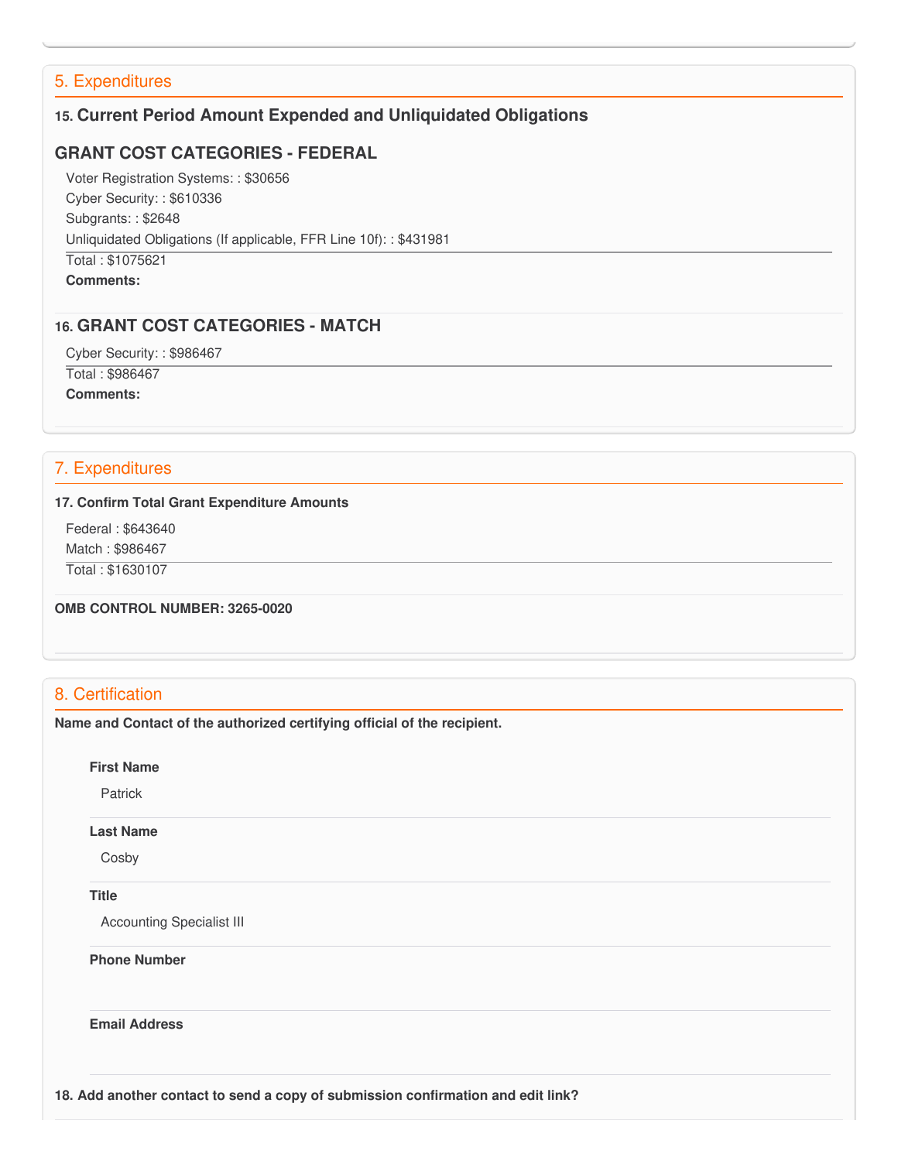# 5. Expenditures

# **15. Current Period Amount Expended and Unliquidated Obligations**

### **GRANT COST CATEGORIES - FEDERAL**

 Voter Registration Systems: : \$30656 Cyber Security: : \$610336 Subgrants: : \$2648 Unliquidated Obligations (If applicable, FFR Line 10f): : \$431981 Total : \$1075621 **Comments:**

### **16. GRANT COST CATEGORIES - MATCH**

Cyber Security: : \$986467

Total : \$986467

**Comments:**

# 7. Expenditures

#### **17. Confirm Total Grant Expenditure Amounts**

Federal : \$643640

Match : \$986467

Total : \$1630107

 **OMB CONTROL NUMBER: 3265-0020**

# 8. Certification

 **Name and Contact of the authorized certifying official of the recipient.**

**First Name**

Patrick

#### **Last Name**

Cosby

### **Title**

Accounting Specialist III

 **Phone Number**

**Email Address**

 **18. Add another contact to send a copy of submission confirmation and edit link?**